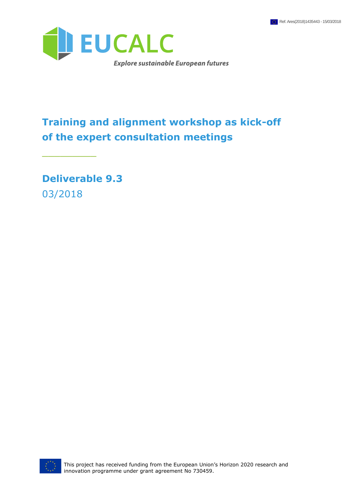

# **Training and alignment workshop as kick-off of the expert consultation meetings**

**Deliverable 9.3** 03/2018

\_\_\_\_\_\_\_\_\_

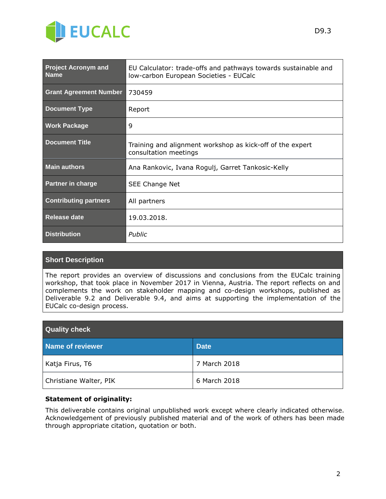

| <b>Project Acronym and</b><br><b>Name</b> | EU Calculator: trade-offs and pathways towards sustainable and<br>low-carbon European Societies - EUCalc |  |
|-------------------------------------------|----------------------------------------------------------------------------------------------------------|--|
| <b>Grant Agreement Number</b>             | 730459                                                                                                   |  |
| <b>Document Type</b>                      | Report                                                                                                   |  |
| <b>Work Package</b>                       | 9                                                                                                        |  |
| <b>Document Title</b>                     | Training and alignment workshop as kick-off of the expert<br>consultation meetings                       |  |
| <b>Main authors</b>                       | Ana Rankovic, Ivana Rogulj, Garret Tankosic-Kelly                                                        |  |
| <b>Partner in charge</b>                  | SEE Change Net                                                                                           |  |
| <b>Contributing partners</b>              | All partners                                                                                             |  |
| Release date                              | 19.03.2018.                                                                                              |  |
| <b>Distribution</b>                       | Public                                                                                                   |  |

#### **Short Description**

The report provides an overview of discussions and conclusions from the EUCalc training workshop, that took place in November 2017 in Vienna, Austria. The report reflects on and complements the work on stakeholder mapping and co-design workshops, published as Deliverable 9.2 and Deliverable 9.4, and aims at supporting the implementation of the EUCalc co-design process.

| <b>Quality check</b>   |              |  |  |  |
|------------------------|--------------|--|--|--|
| Name of reviewer       | <b>Date</b>  |  |  |  |
| Katja Firus, T6        | 7 March 2018 |  |  |  |
| Christiane Walter, PIK | 6 March 2018 |  |  |  |

#### **Statement of originality:**

This deliverable contains original unpublished work except where clearly indicated otherwise. Acknowledgement of previously published material and of the work of others has been made through appropriate citation, quotation or both.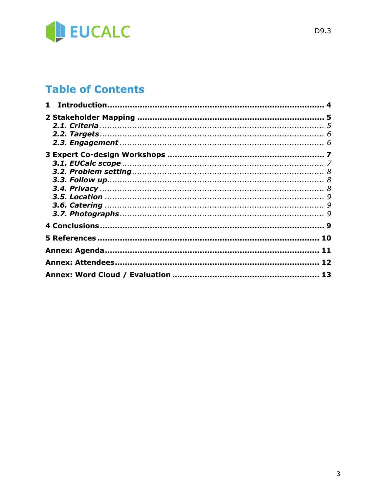

## **Table of Contents**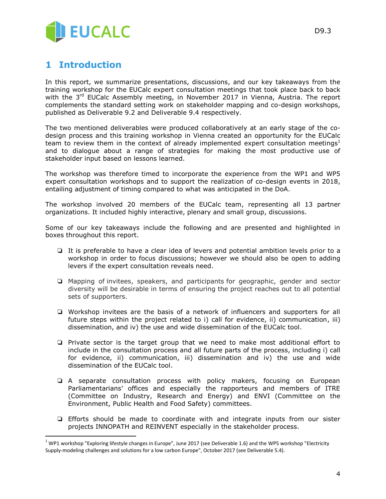

#### <span id="page-3-0"></span>**1 Introduction**

 $\overline{a}$ 

In this report, we summarize presentations, discussions, and our key takeaways from the training workshop for the EUCalc expert consultation meetings that took place back to back with the 3<sup>rd</sup> EUCalc Assembly meeting, in November 2017 in Vienna, Austria. The report complements the standard setting work on stakeholder mapping and co-design workshops, published as Deliverable 9.2 and Deliverable 9.4 respectively.

The two mentioned deliverables were produced collaboratively at an early stage of the codesign process and this training workshop in Vienna created an opportunity for the EUCalc team to review them in the context of already implemented expert consultation meetings<sup>1</sup> and to dialogue about a range of strategies for making the most productive use of stakeholder input based on lessons learned.

The workshop was therefore timed to incorporate the experience from the WP1 and WP5 expert consultation workshops and to support the realization of co-design events in 2018, entailing adjustment of timing compared to what was anticipated in the DoA.

The workshop involved 20 members of the EUCalc team, representing all 13 partner organizations. It included highly interactive, plenary and small group, discussions.

Some of our key takeaways include the following and are presented and highlighted in boxes throughout this report.

- ❏ It is preferable to have a clear idea of levers and potential ambition levels prior to a workshop in order to focus discussions; however we should also be open to adding levers if the expert consultation reveals need.
- ❏ Mapping of invitees, speakers, and participants for geographic, gender and sector diversity will be desirable in terms of ensuring the project reaches out to all potential sets of supporters.
- ❏ Workshop invitees are the basis of a network of influencers and supporters for all future steps within the project related to i) call for evidence, ii) communication, iii) dissemination, and iv) the use and wide dissemination of the EUCalc tool.
- ❏ Private sector is the target group that we need to make most additional effort to include in the consultation process and all future parts of the process, including i) call for evidence, ii) communication, iii) dissemination and iv) the use and wide dissemination of the EUCalc tool.
- ❏ A separate consultation process with policy makers, focusing on European Parliamentarians' offices and especially the rapporteurs and members of ITRE (Committee on Industry, Research and Energy) and ENVI (Committee on the Environment, Public Health and Food Safety) committees.
- ❏ Efforts should be made to coordinate with and integrate inputs from our sister projects INNOPATH and REINVENT especially in the stakeholder process.

 $1$  WP1 workshop "Exploring lifestyle changes in Europe", June 2017 (see Deliverable 1.6) and the WP5 workshop "Electricity Supply-modeling challenges and solutions for a low carbon Europe", October 2017 (see Deliverable 5.4).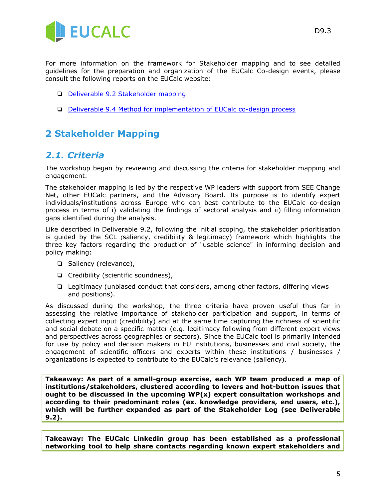

For more information on the framework for Stakeholder mapping and to see detailed guidelines for the preparation and organization of the EUCalc Co-design events, please consult the following reports on the EUCalc website:

- ❏ [Deliverable 9.2 Stakeholder mapping](http://www.european-calculator.eu/wp-content/uploads/2017/07/EUCalc_D9.2_Stakeholder-mapping.pdf)
- ❏ [Deliverable 9.4 Method for implementation of EUCalc co-design process](http://www.european-calculator.eu/wp-content/uploads/2017/07/EUCalc_D9.4_Method-for-implementation-of-EUCalc-co-design-process_FINAL.pdf)

### <span id="page-4-0"></span>**2 Stakeholder Mapping**

#### <span id="page-4-1"></span>*2.1. Criteria*

The workshop began by reviewing and discussing the criteria for stakeholder mapping and engagement.

The stakeholder mapping is led by the respective WP leaders with support from SEE Change Net, other EUCalc partners, and the Advisory Board. Its purpose is to identify expert individuals/institutions across Europe who can best contribute to the EUCalc co-design process in terms of i) validating the findings of sectoral analysis and ii) filling information gaps identified during the analysis.

Like described in Deliverable 9.2, following the initial scoping, the stakeholder prioritisation is guided by the SCL (saliency, credibility & legitimacy) framework which highlights the three key factors regarding the production of "usable science" in informing decision and policy making:

- ❏ Saliency (relevance),
- ❏ Credibility (scientific soundness),
- ❏ Legitimacy (unbiased conduct that considers, among other factors, differing views and positions).

As discussed during the workshop, the three criteria have proven useful thus far in assessing the relative importance of stakeholder participation and support, in terms of collecting expert input (credibility) and at the same time capturing the richness of scientific and social debate on a specific matter (e.g. legitimacy following from different expert views and perspectives across geographies or sectors). Since the EUCalc tool is primarily intended for use by policy and decision makers in EU institutions, businesses and civil society, the engagement of scientific officers and experts within these institutions / businesses / organizations is expected to contribute to the EUCalc's relevance (saliency).

**Takeaway: As part of a small-group exercise, each WP team produced a map of institutions/stakeholders, clustered according to levers and hot-button issues that ought to be discussed in the upcoming WP(x) expert consultation workshops and according to their predominant roles (ex. knowledge providers, end users, etc.), which will be further expanded as part of the Stakeholder Log (see Deliverable 9.2).**

**Takeaway: The EUCalc Linkedin group has been established as a professional networking tool to help share contacts regarding known expert stakeholders and**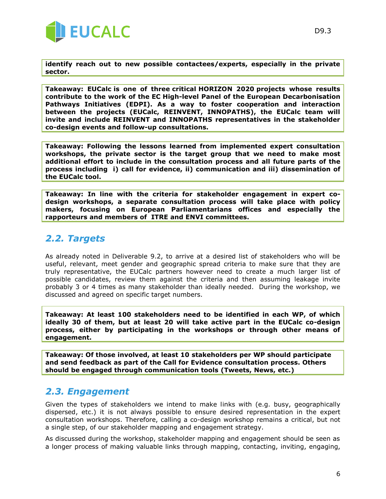

**identify reach out to new possible contactees/experts, especially in the private sector.** 

**Takeaway: [EUCalc](http://www.european-calculator.eu/) is one of three critical HORIZON 2020 projects whose results contribute to the work of the EC High-level Panel of the European Decarbonisation Pathways Initiatives (EDPI). As a way to foster cooperation and interaction between the projects (EUCalc, REINVENT, INNOPATHS), the EUCalc team will invite and include REINVENT and INNOPATHS representatives in the stakeholder co-design events and follow-up consultations.**

**Takeaway: Following the lessons learned from implemented expert consultation workshops, the private sector is the target group that we need to make most additional effort to include in the consultation process and all future parts of the process including i) call for evidence, ii) communication and iii) dissemination of the EUCalc tool.**

**Takeaway: In line with the criteria for stakeholder engagement in expert codesign workshops, a separate consultation process will take place with policy makers, focusing on European Parliamentarians offices and especially the rapporteurs and members of ITRE and ENVI committees.**

#### <span id="page-5-0"></span>*2.2. Targets*

As already noted in Deliverable 9.2, to arrive at a desired list of stakeholders who will be useful, relevant, meet gender and geographic spread criteria to make sure that they are truly representative, the EUCalc partners however need to create a much larger list of possible candidates, review them against the criteria and then assuming leakage invite probably 3 or 4 times as many stakeholder than ideally needed. During the workshop, we discussed and agreed on specific target numbers.

**Takeaway: At least 100 stakeholders need to be identified in each WP, of which ideally 30 of them, but at least 20 will take active part in the EUCalc co-design process, either by participating in the workshops or through other means of engagement.** 

**Takeaway: Of those involved, at least 10 stakeholders per WP should participate and send feedback as part of the Call for Evidence consultation process. Others should be engaged through communication tools (Tweets, News, etc.)**

#### <span id="page-5-1"></span>*2.3. Engagement*

Given the types of stakeholders we intend to make links with (e.g. busy, geographically dispersed, etc.) it is not always possible to ensure desired representation in the expert consultation workshops. Therefore, calling a co-design workshop remains a critical, but not a single step, of our stakeholder mapping and engagement strategy.

As discussed during the workshop, stakeholder mapping and engagement should be seen as a longer process of making valuable links through mapping, contacting, inviting, engaging,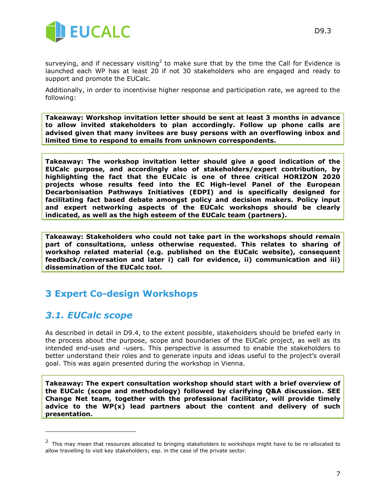

surveying, and if necessary visiting<sup>2</sup> to make sure that by the time the Call for Evidence is launched each WP has at least 20 if not 30 stakeholders who are engaged and ready to support and promote the EUCalc.

Additionally, in order to incentivise higher response and participation rate, we agreed to the following:

**Takeaway: Workshop invitation letter should be sent at least 3 months in advance to allow invited stakeholders to plan accordingly. Follow up phone calls are advised given that many invitees are busy persons with an overflowing inbox and limited time to respond to emails from unknown correspondents.**

**Takeaway: The workshop invitation letter should give a good indication of the EUCalc purpose, and accordingly also of stakeholders/expert contribution, by highlighting the fact that the EUCalc is one of three critical HORIZON 2020 projects whose results feed into the EC High-level Panel of the European Decarbonisation Pathways Initiatives (EDPI) and is specifically designed for facilitating fact based debate amongst policy and decision makers. Policy input and expert networking aspects of the EUCalc workshops should be clearly indicated, as well as the high esteem of the EUCalc team (partners).**

**Takeaway: Stakeholders who could not take part in the workshops should remain part of consultations, unless otherwise requested. This relates to sharing of workshop related material (e.g. published on the EUCalc website), consequent feedback/conversation and later i) call for evidence, ii) communication and iii) dissemination of the EUCalc tool.**

### <span id="page-6-0"></span>**3 Expert Co-design Workshops**

#### <span id="page-6-1"></span>*3.1. EUCalc scope*

 $\overline{a}$ 

As described in detail in D9.4, to the extent possible, stakeholders should be briefed early in the process about the purpose, scope and boundaries of the EUCalc project, as well as its intended end-uses and -users. This perspective is assumed to enable the stakeholders to better understand their roles and to generate inputs and ideas useful to the project's overall goal. This was again presented during the workshop in Vienna.

**Takeaway: The expert consultation workshop should start with a brief overview of the EUCalc (scope and methodology) followed by clarifying Q&A discussion. SEE Change Net team, together with the professional facilitator, will provide timely advice to the WP(x) lead partners about the content and delivery of such presentation.**

 $2$  This may mean that resources allocated to bringing stakeholders to workshops might have to be re-allocated to allow travelling to visit key stakeholders; esp. in the case of the private sector.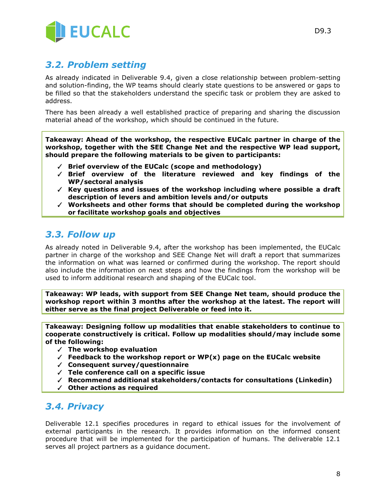

#### <span id="page-7-0"></span>*3.2. Problem setting*

As already indicated in Deliverable 9.4, given a close relationship between problem-setting and solution-finding, the WP teams should clearly state questions to be answered or gaps to be filled so that the stakeholders understand the specific task or problem they are asked to address.

There has been already a well established practice of preparing and sharing the discussion material ahead of the workshop, which should be continued in the future.

**Takeaway: Ahead of the workshop, the respective EUCalc partner in charge of the workshop, together with the SEE Change Net and the respective WP lead support, should prepare the following materials to be given to participants:**

- ✓ **Brief overview of the EUCalc (scope and methodology)**
- ✓ **Brief overview of the literature reviewed and key findings of the WP/sectoral analysis**
- ✓ **Key questions and issues of the workshop including where possible a draft description of levers and ambition levels and/or outputs**
- ✓ **Worksheets and other forms that should be completed during the workshop or facilitate workshop goals and objectives**

#### <span id="page-7-1"></span>*3.3. Follow up*

As already noted in Deliverable 9.4, after the workshop has been implemented, the EUCalc partner in charge of the workshop and SEE Change Net will draft a report that summarizes the information on what was learned or confirmed during the workshop. The report should also include the information on next steps and how the findings from the workshop will be used to inform additional research and shaping of the EUCalc tool.

**Takeaway: WP leads, with support from SEE Change Net team, should produce the workshop report within 3 months after the workshop at the latest. The report will either serve as the final project Deliverable or feed into it.** 

**Takeaway: Designing follow up modalities that enable stakeholders to continue to cooperate constructively is critical. Follow up modalities should/may include some of the following:**

- ✓ **The workshop evaluation**
- ✓ **Feedback to the workshop report or WP(x) page on the EUCalc website**
- ✓ **Consequent survey/questionnaire**
- ✓ **Tele conference call on a specific issue**
- ✓ **Recommend additional stakeholders/contacts for consultations (Linkedin)**
- ✓ **Other actions as required**

#### <span id="page-7-2"></span>*3.4. Privacy*

Deliverable 12.1 specifies procedures in regard to ethical issues for the involvement of external participants in the research. It provides information on the informed consent procedure that will be implemented for the participation of humans. The deliverable 12.1 serves all project partners as a guidance document.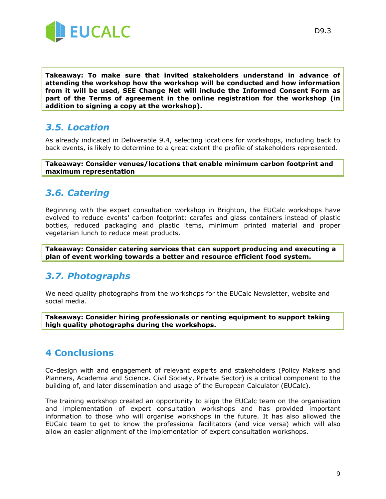

**Takeaway: To make sure that invited stakeholders understand in advance of attending the workshop how the workshop will be conducted and how information from it will be used, SEE Change Net will include the Informed Consent Form as part of the Terms of agreement in the online registration for the workshop (in addition to signing a copy at the workshop).**

#### <span id="page-8-0"></span>*3.5. Location*

As already indicated in Deliverable 9.4, selecting locations for workshops, including back to back events, is likely to determine to a great extent the profile of stakeholders represented.

**Takeaway: Consider venues/locations that enable minimum carbon footprint and maximum representation**

#### <span id="page-8-1"></span>*3.6. Catering*

Beginning with the expert consultation workshop in Brighton, the EUCalc workshops have evolved to reduce events' carbon footprint: carafes and glass containers instead of plastic bottles, reduced packaging and plastic items, minimum printed material and proper vegetarian lunch to reduce meat products.

**Takeaway: Consider catering services that can support producing and executing a plan of event working towards a better and resource efficient food system.**

#### <span id="page-8-2"></span>*3.7. Photographs*

We need quality photographs from the workshops for the EUCalc Newsletter, website and social media.

**Takeaway: Consider hiring professionals or renting equipment to support taking high quality photographs during the workshops.**

### <span id="page-8-3"></span>**4 Conclusions**

Co-design with and engagement of relevant experts and stakeholders (Policy Makers and Planners, Academia and Science. Civil Society, Private Sector) is a critical component to the building of, and later dissemination and usage of the European Calculator (EUCalc).

The training workshop created an opportunity to align the EUCalc team on the organisation and implementation of expert consultation workshops and has provided important information to those who will organise workshops in the future. It has also allowed the EUCalc team to get to know the professional facilitators (and vice versa) which will also allow an easier alignment of the implementation of expert consultation workshops.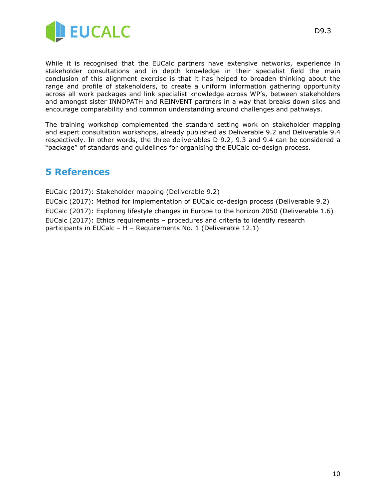

While it is recognised that the EUCalc partners have extensive networks, experience in stakeholder consultations and in depth knowledge in their specialist field the main conclusion of this alignment exercise is that it has helped to broaden thinking about the range and profile of stakeholders, to create a uniform information gathering opportunity across all work packages and link specialist knowledge across WP's, between stakeholders and amongst sister INNOPATH and REINVENT partners in a way that breaks down silos and encourage comparability and common understanding around challenges and pathways.

The training workshop complemented the standard setting work on stakeholder mapping and expert consultation workshops, already published as Deliverable 9.2 and Deliverable 9.4 respectively. In other words, the three deliverables D 9.2, 9.3 and 9.4 can be considered a "package" of standards and guidelines for organising the EUCalc co-design process.

#### <span id="page-9-0"></span>**5 References**

EUCalc (2017): Stakeholder mapping (Deliverable 9.2) EUCalc (2017): Method for implementation of EUCalc co-design process (Deliverable 9.2) EUCalc (2017): Exploring lifestyle changes in Europe to the horizon 2050 (Deliverable 1.6) EUCalc (2017): Ethics requirements – procedures and criteria to identify research participants in EUCalc – H – Requirements No. 1 (Deliverable 12.1)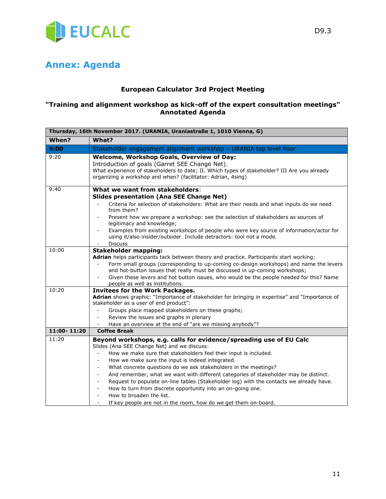

### <span id="page-10-0"></span>**Annex: Agenda**

#### **European Calculator 3rd Project Meeting**

#### **"Training and alignment workshop as kick-off of the expert consultation meetings" Annotated Agenda**

| Thursday, 16th November 2017. (URANIA, Uraniastraße 1, 1010 Vienna, G) |                                                                                                                                                                                                                                                             |  |  |  |
|------------------------------------------------------------------------|-------------------------------------------------------------------------------------------------------------------------------------------------------------------------------------------------------------------------------------------------------------|--|--|--|
| When?                                                                  | What?                                                                                                                                                                                                                                                       |  |  |  |
| 9:00                                                                   | Stakeholder engagement alignment workshop - URANIA top level floor                                                                                                                                                                                          |  |  |  |
| 9:20                                                                   | Welcome, Workshop Goals, Overview of Day:<br>Introduction of goals (Garret SEE Change Net).<br>What experience of stakeholders to date; II. Which types of stakeholder? III Are you already<br>organizing a workshop and when? (facilitator: Adrian, 4sing) |  |  |  |
| 9:40                                                                   | What we want from stakeholders:                                                                                                                                                                                                                             |  |  |  |
|                                                                        | <b>Slides presentation (Ana SEE Change Net)</b>                                                                                                                                                                                                             |  |  |  |
|                                                                        | Criteria for selection of stakeholders: What are their needs and what inputs do we need<br>from them?                                                                                                                                                       |  |  |  |
|                                                                        | Present how we prepare a workshop: see the selection of stakeholders as sources of<br>legitimacy and knowledge;                                                                                                                                             |  |  |  |
|                                                                        | Examples from existing workshops of people who were key source of information/actor for<br>$\overline{\phantom{a}}$<br>using it/also insider/outsider. Include detractors: tool not a mode.                                                                 |  |  |  |
| 10:00                                                                  | <b>Discuss</b>                                                                                                                                                                                                                                              |  |  |  |
|                                                                        | <b>Stakeholder mapping:</b>                                                                                                                                                                                                                                 |  |  |  |
|                                                                        | Adrian helps participants tack between theory and practice. Participants start working:<br>Form small groups (corresponding to up-coming co-design workshops) and name the levers                                                                           |  |  |  |
|                                                                        | and hot-button issues that really must be discussed in up-coming workshops;                                                                                                                                                                                 |  |  |  |
|                                                                        | Given these levers and hot button issues, who would be the people needed for this? Name<br>people as well as institutions.                                                                                                                                  |  |  |  |
| 10:20                                                                  | <b>Invitees for the Work Packages.</b>                                                                                                                                                                                                                      |  |  |  |
|                                                                        | Adrian shows graphic: "Importance of stakeholder for bringing in expertise" and "Importance of<br>stakeholder as a user of end product":                                                                                                                    |  |  |  |
|                                                                        | Groups place mapped stakeholders on these graphs;                                                                                                                                                                                                           |  |  |  |
|                                                                        | Review the issues and graphs in plenary                                                                                                                                                                                                                     |  |  |  |
|                                                                        | Have an overview at the end of "are we missing anybody"?                                                                                                                                                                                                    |  |  |  |
| 11:00-11:20                                                            | <b>Coffee Break</b>                                                                                                                                                                                                                                         |  |  |  |
| 11:20                                                                  | Beyond workshops, e.g. calls for evidence/spreading use of EU Calc                                                                                                                                                                                          |  |  |  |
|                                                                        | Slides (Ana SEE Change Net) and we discuss:                                                                                                                                                                                                                 |  |  |  |
|                                                                        | How we make sure that stakeholders feel their input is included.                                                                                                                                                                                            |  |  |  |
|                                                                        | How we make sure the input is indeed integrated.<br>$\overline{a}$                                                                                                                                                                                          |  |  |  |
|                                                                        | What concrete questions do we ask stakeholders in the meetings?<br>$\qquad \qquad \blacksquare$                                                                                                                                                             |  |  |  |
|                                                                        | And remember, what we want with different categories of stakeholder may be distinct.<br>$\overline{\phantom{a}}$                                                                                                                                            |  |  |  |
|                                                                        | Request to populate on-line tables (Stakeholder log) with the contacts we already have.                                                                                                                                                                     |  |  |  |
|                                                                        | How to turn from discrete opportunity into an on-going one.<br>$\overline{\phantom{a}}$                                                                                                                                                                     |  |  |  |
|                                                                        | How to broaden the list.<br>$\overline{\phantom{a}}$                                                                                                                                                                                                        |  |  |  |
|                                                                        | If key people are not in the room, how do we get them on-board.                                                                                                                                                                                             |  |  |  |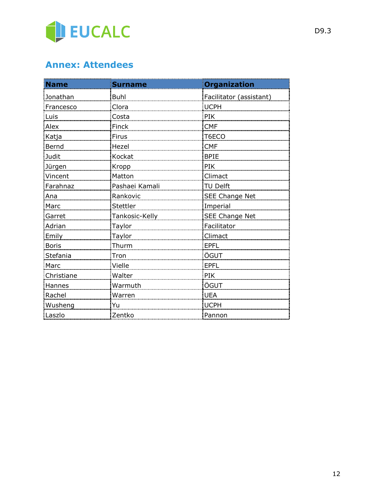

## <span id="page-11-0"></span>**Annex: Attendees**

| <b>Name</b>  | Surname        | <b>Organization</b>     |
|--------------|----------------|-------------------------|
| Jonathan     | <b>Buhl</b>    | Facilitator (assistant) |
| Francesco    | Clora          | <b>UCPH</b>             |
| Luis         | Costa          | PIK                     |
| Alex         | Finck          | <b>CMF</b>              |
| Katja        | Firus          | T6ECO                   |
| Bernd        | Hezel          | <b>CMF</b>              |
| Judit        | Kockat         | <b>BPIE</b>             |
| Jürgen       | Kropp          | PIK                     |
| Vincent      | Matton         | Climact                 |
| Farahnaz     | Pashaei Kamali | TU Delft                |
| Ana          | Rankovic       | <b>SEE Change Net</b>   |
| Marc         | Stettler       | Imperial                |
| Garret       | Tankosic-Kelly | SEE Change Net          |
| Adrian       | Taylor         | Facilitator             |
| Emily        | Taylor         | Climact                 |
| <b>Boris</b> | Thurm          | <b>EPFL</b>             |
| Stefania     | Tron           | ÖGUT                    |
| Marc         | Vielle         | <b>EPFL</b>             |
| Christiane   | Walter         | PIK                     |
| Hannes       | Warmuth        | ÖGUT                    |
| Rachel       | Warren         | <b>UEA</b>              |
| Wusheng      | Yu             | <b>UCPH</b>             |
| Laszlo       | Zentko         | Pannon                  |